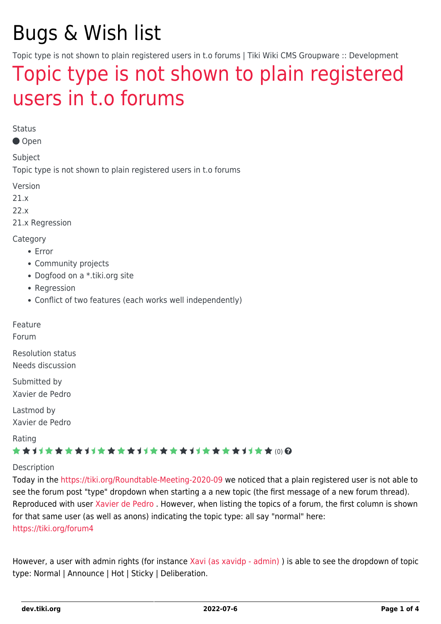# Bugs & Wish list

Topic type is not shown to plain registered users in t.o forums | Tiki Wiki CMS Groupware :: Development

## [Topic type is not shown to plain registered](https://dev.tiki.org/item7543-Topic-type-is-not-shown-to-plain-registered-users-in-t-o-forums) [users in t.o forums](https://dev.tiki.org/item7543-Topic-type-is-not-shown-to-plain-registered-users-in-t-o-forums)

**Status** 

Open

Subject

Topic type is not shown to plain registered users in t.o forums

Version

21.x

22.x

21.x Regression

Category

- Error
- Community projects
- Dogfood on a \*.tiki.org site
- Regression
- Conflict of two features (each works well independently)

Feature

Forum

Resolution status Needs discussion

Submitted by Xavier de Pedro

Lastmod by Xavier de Pedro

Rating

#### \*\*\*\*\*\*\*\*\*\*\*\*\*\*\*\*\*\*\*\*\*\*\*\*\*\*\*\*\*\*

Description

Today in the<https://tiki.org/Roundtable-Meeting-2020-09>we noticed that a plain registered user is not able to see the forum post "type" dropdown when starting a a new topic (the first message of a new forum thread). Reproduced with user [Xavier de Pedro](https://dev.tiki.org/user9794) . However, when listing the topics of a forum, the first column is shown for that same user (as well as anons) indicating the topic type: all say "normal" here: <https://tiki.org/forum4>

However, a user with admin rights (for instance [Xavi \(as xavidp - admin\)](https://dev.tiki.org/user1553)) is able to see the dropdown of topic type: Normal | Announce | Hot | Sticky | Deliberation.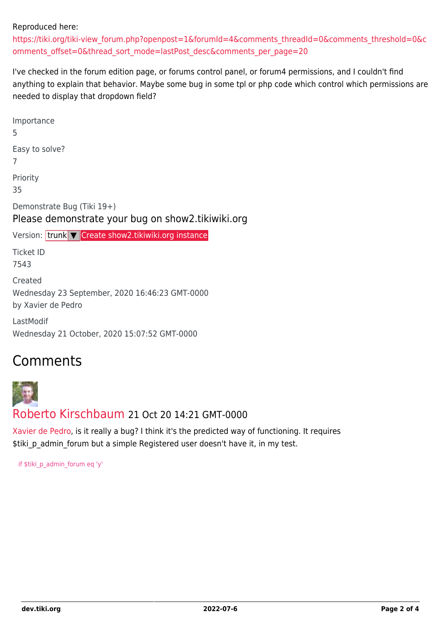#### Reproduced here:

[https://tiki.org/tiki-view\\_forum.php?openpost=1&forumId=4&comments\\_threadId=0&comments\\_threshold=0&c](https://tiki.org/tiki-view_forum.php?openpost=1&forumId=4&comments_threadId=0&comments_threshold=0&comments_offset=0&thread_sort_mode=lastPost_desc&comments_per_page=20) [omments\\_offset=0&thread\\_sort\\_mode=lastPost\\_desc&comments\\_per\\_page=20](https://tiki.org/tiki-view_forum.php?openpost=1&forumId=4&comments_threadId=0&comments_threshold=0&comments_offset=0&thread_sort_mode=lastPost_desc&comments_per_page=20)

I've checked in the forum edition page, or forums control panel, or forum4 permissions, and I couldn't find anything to explain that behavior. Maybe some bug in some tpl or php code which control which permissions are needed to display that dropdown field?

Importance 5 Easy to solve? 7 Priority 35 Demonstrate Bug (Tiki 19+) Please demonstrate your bug on show2.tikiwiki.org Version: trunk ▼ [Create show2.tikiwiki.org instance](#page--1-0) Ticket ID 7543 Created Wednesday 23 September, 2020 16:46:23 GMT-0000 by Xavier de Pedro LastModif Wednesday 21 October, 2020 15:07:52 GMT-0000

### Comments



[Xavier de Pedro,](https://dev.tiki.org/user9794) is it really a bug? I think it's the predicted way of functioning. It requires \$tiki p admin forum but a simple Registered user doesn't have it, in my test.

if \$tiki\_p\_admin\_forum eq 'y'